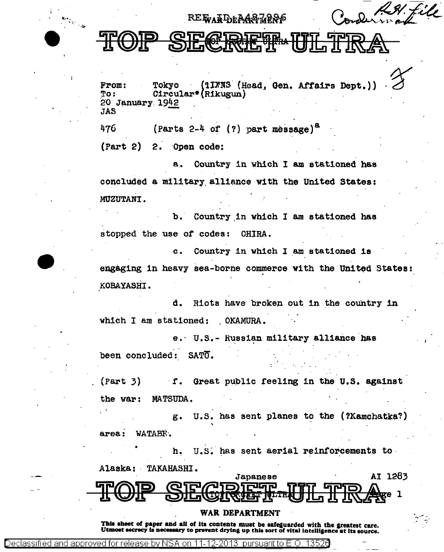

(1IXNS (Head, Gen. Affairs Dept.)) Tokyo From:  $Circular*(Rikugun)$ To: 20 January 1942 **JAS** 

476  $(Parts 2-4 of (?) part message)<sup>a</sup>$ 

(Part 2) 2. Open code:

Country in which I am stationed has a. concluded a military alliance with the United States: MUZUTANI.

b. Country in which I am stationed has stopped the use of codes: OHIRA.

Country in which I am stationed is  $c.$ engaging in heavy sea-borne commerce with the United States: KOBAYASHI.

d. Riots have broken out in the country in which I am stationed: OKAMURA.

e. U.S.- Russian military alliance has been concluded: SATO.

 $\{Part 3\}$  $\cdot$  f. Great public feeling in the U.S. against MATSUDA. the war:

U.S. has sent planes to the (?Kamchatka?) g. WATABE. area:

h. U.S. has sent aerial reinforcements to Alaska: TAKAHASHI.



## WAR DEPARTMENT

This sheet of paper and all of its contents must be safeguarded with the greatest care. Utmost secrecy is necessary to prevent drying up this sort of vital intelligence at its source.